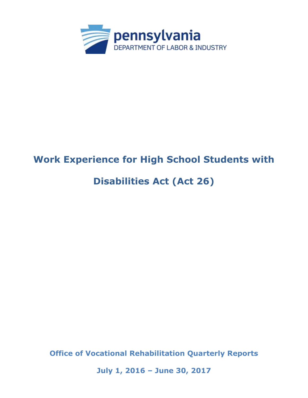

# **Work Experience for High School Students with**

# **Disabilities Act (Act 26)**

**Office of Vocational Rehabilitation Quarterly Reports** 

**July 1, 2016 – June 30, 2017**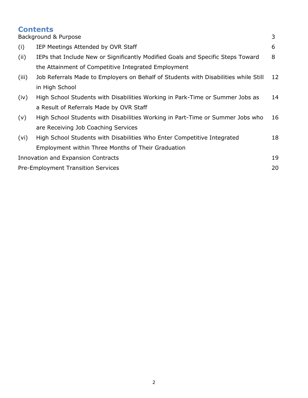# **Contents**  Background & Purpose 3 (i) IEP Meetings Attended by OVR Staff 6 (ii) IEPs that Include New or Significantly Modified Goals and Specific Steps Toward 8 the Attainment of Competitive Integrated Employment (iii) Job Referrals Made to Employers on Behalf of Students with Disabilities while Still 12 in High School (iv) High School Students with Disabilities Working in Park-Time or Summer Jobs as 14 a Result of Referrals Made by OVR Staff (v) High School Students with Disabilities Working in Part-Time or Summer Jobs who 16 are Receiving Job Coaching Services (vi) High School Students with Disabilities Who Enter Competitive Integrated 18 Employment within Three Months of Their Graduation Innovation and Expansion Contracts 19 Pre-Employment Transition Services 20 and 20 and 20 and 20 and 20 and 20 and 20 and 20 and 20 and 20 and 20 and 20 and 20 and 20 and 20 and 20 and 20 and 20 and 20 and 20 and 20 and 20 and 20 and 20 and 20 and 20 and 20 an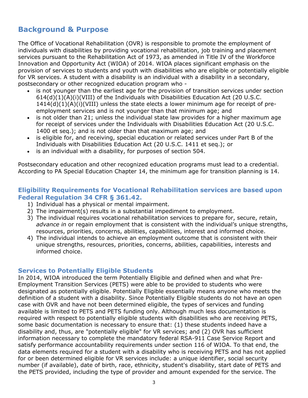# **Background & Purpose**

The Office of Vocational Rehabilitation (OVR) is responsible to promote the employment of individuals with disabilities by providing vocational rehabilitation, job training and placement services pursuant to the Rehabilitation Act of 1973, as amended in Title IV of the Workforce Innovation and Opportunity Act (WIOA) of 2014. WIOA places significant emphasis on the provision of services to students and youth with disabilities who are eligible or potentially eligible for VR services. A student with a disability is an individual with a disability in a secondary, postsecondary or other recognized education program who -

- is not younger than the earliest age for the provision of transition services under section  $614(d)(1)(A)(i)(VIII)$  of the Individuals with Disabilities Education Act (20 U.S.C.  $1414(d)(1)(A)(i)(VIII)$  unless the state elects a lower minimum age for receipt of preemployment services and is not younger than that minimum age; and
- is not older than 21; unless the individual state law provides for a higher maximum age for receipt of services under the Individuals with Disabilities Education Act (20 U.S.C. 1400 et seq.); and is not older than that maximum age; and
- is eligible for, and receiving, special education or related services under Part B of the Individuals with Disabilities Education Act (20 U.S.C. 1411 et seq.); or
- is an individual with a disability, for purposes of section 504.

Postsecondary education and other recognized education programs must lead to a credential. According to PA Special Education Chapter 14, the minimum age for transition planning is 14.

#### **Eligibility Requirements for Vocational Rehabilitation services are based upon Federal Regulation 34 CFR § 361.42.**

- 1) Individual has a physical or mental impairment.
- 2) The impairment(s) results in a substantial impediment to employment.
- 3) The individual requires vocational rehabilitation services to prepare for, secure, retain, *advance in* or regain employment that is consistent with the individual's unique strengths , resources, priorities, concerns, abilities, capabilities, interest and informed choice.
- 4) The individual intends to achieve an employment outcome that is consistent with their unique strengths, resources, priorities, concerns, abilities, capabilities, interests and informed choice.

#### **Services to Potentially Eligible Students**

In 2014, WIOA introduced the term Potentially Eligible and defined when and what Pre-Employment Transition Services (PETS) were able to be provided to students who were designated as potentially eligible. Potentially Eligible essentially means anyone who meets the definition of a student with a disability. Since Potentially Eligible students do not have an open case with OVR and have not been determined eligible, the types of services and funding available is limited to PETS and PETS funding only. Although much less documentation is required with respect to potentially eligible students with disabilities who are receiving PETS, some basic documentation is necessary to ensure that: (1) these students indeed have a disability and, thus, are "potentially eligible" for VR services; and (2) OVR has sufficient information necessary to complete the mandatory federal RSA-911 Case Service Report and satisfy performance accountability requirements under section 116 of WIOA. To that end, the data elements required for a student with a disability who is receiving PETS and has not applied for or been determined eligible for VR services include: a unique identifier, social security number (if available), date of birth, race, ethnicity, student's disability, start date of PETS and the PETS provided, including the type of provider and amount expended for the service. The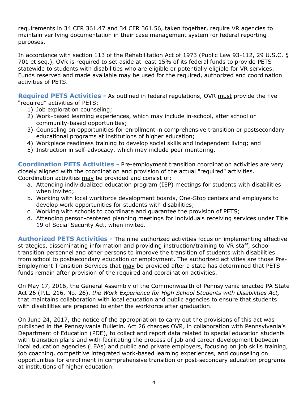requirements in 34 CFR 361.47 and 34 CFR 361.56, taken together, require VR agencies to maintain verifying documentation in their case management system for federal reporting purposes.

In accordance with section 113 of the Rehabilitation Act of 1973 (Public Law 93-112, 29 U.S.C. § 701 et seq.), OVR is required to set aside at least 15% of its federal funds to provide PETS statewide to students with disabilities who are eligible or potentially eligible for VR services. Funds reserved and made available may be used for the required, authorized and coordination activities of PETS.

**Required PETS Activities -** As outlined in federal regulations, OVR must provide the five "required" activities of PETS:

- 1) Job exploration counseling;
- 2) Work-based learning experiences, which may include in-school, after school or community-based opportunities;
- 3) Counseling on opportunities for enrollment in comprehensive transition or postsecondary educational programs at institutions of higher education;
- 4) Workplace readiness training to develop social skills and independent living; and
- 5) Instruction in self-advocacy, which may include peer mentoring.

**Coordination PETS Activities -** Pre-employment transition coordination activities are very closely aligned with the coordination and provision of the actual "required" activities. Coordination activities may be provided and consist of:

- a. Attending individualized education program (IEP) meetings for students with disabilities when invited;
- b. Working with local workforce development boards, One-Stop centers and employers to develop work opportunities for students with disabilities;
- c. Working with schools to coordinate and guarantee the provision of PETS;
- d. Attending person-centered planning meetings for individuals receiving services under Title 19 of Social Security Act, when invited.

**Authorized PETS Activities -** The nine authorized activities focus on implementing effective strategies, disseminating information and providing instruction/training to VR staff, school transition personnel and other persons to improve the transition of students with disabilities from school to postsecondary education or employment. The authorized activities are those Pre-Employment Transition Services that may be provided after a state has determined that PETS funds remain after provision of the required and coordination activities.

On May 17, 2016, the General Assembly of the Commonwealth of Pennsylvania enacted PA State Act 26 (P.L. 216, No. 26), *the Work Experience for High School Students with Disabilities Act,* that maintains collaboration with local education and public agencies to ensure that students with disabilities are prepared to enter the workforce after graduation.

On June 24, 2017, the notice of the appropriation to carry out the provisions of this act was published in the Pennsylvania Bulletin. Act 26 charges OVR, in collaboration with Pennsylvania's Department of Education (PDE), to collect and report data related to special education students with transition plans and with facilitating the process of job and career development between local education agencies (LEAs) and public and private employers, focusing on job skills training, job coaching, competitive integrated work-based learning experiences, and counseling on opportunities for enrollment in comprehensive transition or post-secondary education programs at institutions of higher education.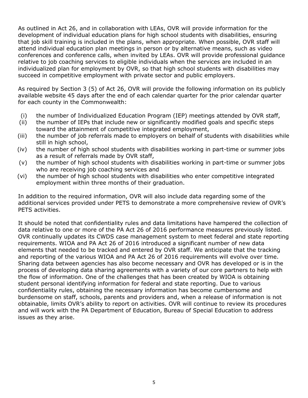As outlined in Act 26, and in collaboration with LEAs, OVR will provide information for the development of individual education plans for high school students with disabilities, ensuring that job skill training is included in the plans, when appropriate. When possible, OVR staff will attend individual education plan meetings in person or by alternative means, such as video conferences and conference calls, when invited by LEAs. OVR will provide professional guidance relative to job coaching services to eligible individuals when the services are included in an individualized plan for employment by OVR, so that high school students with disabilities may succeed in competitive employment with private sector and public employers.

As required by Section 3 (5) of Act 26, OVR will provide the following information on its publicly available website 45 days after the end of each calendar quarter for the prior calendar quarter for each county in the Commonwealth:

- (i) the number of Individualized Education Program (IEP) meetings attended by OVR staff,
- (ii) the number of IEPs that include new or significantly modified goals and specific steps toward the attainment of competitive integrated employment,
- (iii) the number of job referrals made to employers on behalf of students with disabilities while still in high school,
- (iv) the number of high school students with disabilities working in part-time or summer jobs as a result of referrals made by OVR staff,
- (v) the number of high school students with disabilities working in part-time or summer jobs who are receiving job coaching services and
- (vi) the number of high school students with disabilities who enter competitive integrated employment within three months of their graduation.

In addition to the required information, OVR will also include data regarding some of the additional services provided under PETS to demonstrate a more comprehensive review of OVR's PETS activities.

It should be noted that confidentiality rules and data limitations have hampered the collection of data relative to one or more of the PA Act 26 of 2016 performance measures previously listed. OVR continually updates its CWDS case management system to meet federal and state reporting requirements. WIOA and PA Act 26 of 2016 introduced a significant number of new data elements that needed to be tracked and entered by OVR staff. We anticipate that the tracking and reporting of the various WIOA and PA Act 26 of 2016 requirements will evolve over time. Sharing data between agencies has also become necessary and OVR has developed or is in the process of developing data sharing agreements with a variety of our core partners to help with the flow of information. One of the challenges that has been created by WIOA is obtaining student personal identifying information for federal and state reporting. Due to various confidentiality rules, obtaining the necessary information has become cumbersome and burdensome on staff, schools, parents and providers and, when a release of information is not obtainable, limits OVR's ability to report on activities. OVR will continue to review its procedures and will work with the PA Department of Education, Bureau of Special Education to address issues as they arise.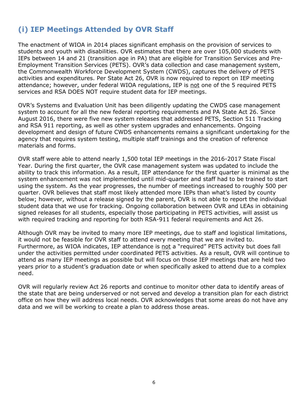# **(i) IEP Meetings Attended by OVR Staff**

The enactment of WIOA in 2014 places significant emphasis on the provision of services to students and youth with disabilities. OVR estimates that there are over 105,000 students with IEPs between 14 and 21 (transition age in PA) that are eligible for Transition Services and Pre-Employment Transition Services (PETS). OVR's data collection and case management system, the Commonwealth Workforce Development System (CWDS), captures the delivery of PETS activities and expenditures. Per State Act 26, OVR is now required to report on IEP meeting attendance; however, under federal WIOA regulations, IEP is not one of the 5 required PETS services and RSA DOES NOT require student data for IEP meetings.

OVR's Systems and Evaluation Unit has been diligently updating the CWDS case management system to account for all the new federal reporting requirements and PA State Act 26. Since August 2016, there were five new system releases that addressed PETS, Section 511 Tracking and RSA 911 reporting, as well as other system upgrades and enhancements. Ongoing development and design of future CWDS enhancements remains a significant undertaking for the agency that requires system testing, multiple staff trainings and the creation of reference materials and forms.

OVR staff were able to attend nearly 1,500 total IEP meetings in the 2016-2017 State Fiscal Year. During the first quarter, the OVR case management system was updated to include the ability to track this information. As a result, IEP attendance for the first quarter is minimal as the system enhancement was not implemented until mid-quarter and staff had to be trained to start using the system. As the year progresses, the number of meetings increased to roughly 500 per quarter. OVR believes that staff most likely attended more IEPs than what's listed by county below; however, without a release signed by the parent, OVR is not able to report the individual student data that we use for tracking. Ongoing collaboration between OVR and LEAs in obtaining signed releases for all students, especially those participating in PETS activities, will assist us with required tracking and reporting for both RSA-911 federal requirements and Act 26.

Although OVR may be invited to many more IEP meetings, due to staff and logistical limitations, it would not be feasible for OVR staff to attend every meeting that we are invited to. Furthermore, as WIOA indicates, IEP attendance is not a "required" PETS activity but does fall under the activities permitted under coordinated PETS activities. As a result, OVR will continue to attend as many IEP meetings as possible but will focus on those IEP meetings that are held two years prior to a student's graduation date or when specifically asked to attend due to a complex need.

OVR will regularly review Act 26 reports and continue to monitor other data to identify areas of the state that are being underserved or not served and develop a transition plan for each district office on how they will address local needs. OVR acknowledges that some areas do not have any data and we will be working to create a plan to address those areas.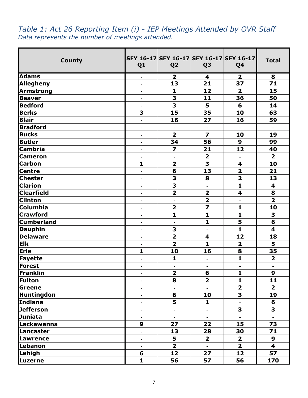| <b>County</b>     | Q1                           | SFY 16-17 SFY 16-17 SFY 16-17 SFY 16-17<br>Q <sub>2</sub> | Q <sub>3</sub>          | Q <sub>4</sub>          | <b>Total</b>            |
|-------------------|------------------------------|-----------------------------------------------------------|-------------------------|-------------------------|-------------------------|
| <b>Adams</b>      | -                            | $\overline{2}$                                            | 4                       | $\overline{2}$          | 8                       |
| <b>Allegheny</b>  | ٠                            | 13                                                        | 21                      | 37                      | 71                      |
| Armstrong         | $\blacksquare$               | $\mathbf{1}$                                              | 12                      | $\overline{\mathbf{2}}$ | 15                      |
| <b>Beaver</b>     | Ξ.                           | 3                                                         | 11                      | 36                      | 50                      |
| <b>Bedford</b>    | $\blacksquare$               | $\overline{\mathbf{3}}$                                   | 5                       | 6                       | 14                      |
| <b>Berks</b>      | 3                            | 15                                                        | 35                      | 10                      | 63                      |
| <b>Blair</b>      | $\blacksquare$               | 16                                                        | 27                      | 16                      | 59                      |
| <b>Bradford</b>   | $\blacksquare$               | $\blacksquare$                                            | $\blacksquare$          | $\blacksquare$          | $\blacksquare$          |
| <b>Bucks</b>      | $\blacksquare$               | $\overline{2}$                                            | $\overline{\mathbf{z}}$ | 10                      | 19                      |
| <b>Butler</b>     | $\blacksquare$               | 34                                                        | 56                      | $\boldsymbol{9}$        | 99                      |
| Cambria           | $\blacksquare$               | $\overline{\mathbf{z}}$                                   | 21                      | 12                      | 40                      |
| <b>Cameron</b>    | $\blacksquare$               | $\blacksquare$                                            | $\overline{\mathbf{2}}$ | $\blacksquare$          | $\overline{2}$          |
| <b>Carbon</b>     | $\mathbf{1}$                 | $\overline{\mathbf{2}}$                                   | 3                       | $\overline{\mathbf{4}}$ | 10                      |
| <b>Centre</b>     | $\blacksquare$               | $6\phantom{1}6$                                           | 13                      | $\overline{\mathbf{2}}$ | 21                      |
| <b>Chester</b>    | $\blacksquare$               | 3                                                         | 8                       | $\overline{2}$          | 13                      |
| <b>Clarion</b>    | $\blacksquare$               | 3                                                         | L.                      | $\mathbf{1}$            | $\overline{\mathbf{4}}$ |
| <b>Clearfield</b> | ۰                            | $\overline{\mathbf{2}}$                                   | $\overline{\mathbf{2}}$ | 4                       | 8                       |
| <b>Clinton</b>    |                              | ä,                                                        | $\overline{\mathbf{2}}$ |                         | $\overline{\mathbf{2}}$ |
| Columbia          |                              | $\overline{\mathbf{2}}$                                   | 7                       | $\mathbf{1}$            | 10                      |
| <b>Crawford</b>   | -                            | $\mathbf{1}$                                              | $\mathbf{1}$            | $\mathbf{1}$            | 3                       |
| <b>Cumberland</b> | $\blacksquare$               | $\blacksquare$                                            | $\mathbf{1}$            | 5                       | $6\phantom{1}6$         |
| <b>Dauphin</b>    | $\blacksquare$               | 3                                                         | $\blacksquare$          | $\mathbf{1}$            | $\overline{\mathbf{4}}$ |
| <b>Delaware</b>   | $\blacksquare$               | $\overline{\mathbf{2}}$                                   | 4                       | 12                      | 18                      |
| <b>Elk</b>        | $\blacksquare$               | $\overline{\mathbf{2}}$                                   | $\mathbf{1}$            | $\overline{\mathbf{2}}$ | 5                       |
| <b>Erie</b>       | 1                            | 10                                                        | 16                      | 8                       | 35                      |
| <b>Fayette</b>    | $\qquad \qquad \blacksquare$ | $\mathbf{1}$                                              | ۰                       | $\mathbf{1}$            | $\overline{\mathbf{2}}$ |
| Forest            | $\blacksquare$               | $\blacksquare$                                            | $\blacksquare$          | ä,                      | $\blacksquare$          |
| Franklin          |                              | $\overline{\mathbf{2}}$                                   | 6                       | 1                       | $\boldsymbol{9}$        |
| Fulton            | ٠                            | 8                                                         | $\overline{\mathbf{2}}$ | $\mathbf{1}$            | 11                      |
| Greene            |                              | $\blacksquare$                                            | $\blacksquare$          | $\overline{2}$          | $\overline{2}$          |
| <b>Huntingdon</b> | ۰                            | 6                                                         | 10                      | 3                       | 19                      |
| Indiana           | -                            | 5                                                         | $\mathbf{1}$            |                         | 6                       |
| <b>Jefferson</b>  | Ξ.                           | $\blacksquare$                                            | ۰                       | $\overline{\mathbf{3}}$ | 3                       |
| <b>Juniata</b>    | $\blacksquare$               | ÷,                                                        | $\blacksquare$          | $\blacksquare$          | $\blacksquare$          |
| Lackawanna        | 9                            | 27                                                        | 22                      | 15                      | 73                      |
| Lancaster         | $\blacksquare$               | 13                                                        | 28                      | 30                      | 71                      |
| <b>Lawrence</b>   | -                            | 5                                                         | $\overline{\mathbf{2}}$ | $\overline{\mathbf{2}}$ | 9                       |
| Lebanon           | ۰                            | $\overline{2}$                                            |                         | $\overline{\mathbf{2}}$ | $\overline{\mathbf{4}}$ |
| Lehigh            | 6                            | 12                                                        | 27                      | 12                      | 57                      |
| Luzerne           | $\mathbf{1}$                 | 56                                                        | 57                      | 56                      | 170                     |

# *Table 1: Act 26 Reporting Item (i) - IEP Meetings Attended by OVR Staff Data represents the number of meetings attended.*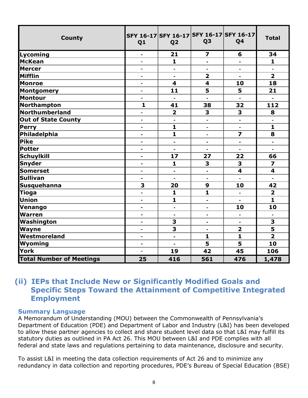| <b>County</b>                   | Q <sub>1</sub>               | SFY 16-17 SFY 16-17 SFY 16-17 SFY 16-17<br>Q <sub>2</sub> | Q <sub>3</sub>               | Q <sub>4</sub>          | <b>Total</b>            |
|---------------------------------|------------------------------|-----------------------------------------------------------|------------------------------|-------------------------|-------------------------|
| Lycoming                        | $\blacksquare$               | 21                                                        | 7                            | 6                       | 34                      |
| McKean                          | $\qquad \qquad \blacksquare$ | $\mathbf{1}$                                              | $\blacksquare$               | $\blacksquare$          | $\mathbf{1}$            |
| <b>Mercer</b>                   | $\blacksquare$               | $\blacksquare$                                            |                              | $\blacksquare$          |                         |
| Mifflin                         | $\blacksquare$               | $\blacksquare$                                            | $\overline{\mathbf{2}}$      | $\blacksquare$          | $\overline{2}$          |
| <b>Monroe</b>                   | $\blacksquare$               | $\overline{\mathbf{4}}$                                   | $\overline{\mathbf{4}}$      | 10                      | 18                      |
| Montgomery                      | $\blacksquare$               | 11                                                        | 5                            | 5                       | 21                      |
| Montour                         | $\blacksquare$               | $\blacksquare$                                            | $\overline{a}$               |                         |                         |
| Northampton                     | $\mathbf{1}$                 | 41                                                        | 38                           | 32                      | 112                     |
| Northumberland                  | $\blacksquare$               | $\overline{\mathbf{2}}$                                   | 3                            | 3                       | 8                       |
| <b>Out of State County</b>      | $\blacksquare$               |                                                           |                              |                         |                         |
| <b>Perry</b>                    | $\blacksquare$               | $\mathbf{1}$                                              | $\blacksquare$               | $\blacksquare$          | $\mathbf{1}$            |
| Philadelphia                    | $\blacksquare$               | $\mathbf{1}$                                              | $\qquad \qquad \blacksquare$ | $\overline{\mathbf{z}}$ | 8                       |
| Pike                            | $\blacksquare$               | $\blacksquare$                                            | $\overline{\phantom{0}}$     | $\blacksquare$          | $\blacksquare$          |
| <b>Potter</b>                   | $\blacksquare$               | $\blacksquare$                                            | $\blacksquare$               | ä,                      | $\blacksquare$          |
| <b>Schuylkill</b>               | $\blacksquare$               | 17                                                        | 27                           | 22                      | 66                      |
| Snyder                          | $\blacksquare$               | $\mathbf{1}$                                              | 3                            | 3                       | $\overline{z}$          |
| <b>Somerset</b>                 | $\blacksquare$               | $\blacksquare$                                            |                              | $\overline{\mathbf{4}}$ | $\overline{\mathbf{4}}$ |
| <b>Sullivan</b>                 | $\blacksquare$               | $\blacksquare$                                            | $\blacksquare$               |                         | $\blacksquare$          |
| <b>Susquehanna</b>              | 3                            | 20                                                        | 9                            | 10                      | 42                      |
| <b>Tioga</b>                    | ä,                           | $\mathbf{1}$                                              | 1                            | ä,                      | $\overline{\mathbf{2}}$ |
| Union                           | $\blacksquare$               | $\mathbf{1}$                                              | $\blacksquare$               |                         | $\mathbf{1}$            |
| Venango                         | $\blacksquare$               | $\blacksquare$                                            | $\overline{\phantom{0}}$     | 10                      | 10                      |
| <b>Warren</b>                   | $\blacksquare$               | $\blacksquare$                                            | ۰                            | $\blacksquare$          |                         |
| Washington                      |                              | 3                                                         | $\blacksquare$               |                         | 3                       |
| Wayne                           | $\blacksquare$               | $\overline{\mathbf{3}}$                                   | $\blacksquare$               | $\overline{\mathbf{2}}$ | 5                       |
| Westmoreland                    | $\blacksquare$               | $\frac{1}{2}$                                             | $\mathbf{1}$                 | $\mathbf{1}$            | $\overline{2}$          |
| Wyoming                         | $\blacksquare$               |                                                           | 5                            | 5                       | 10                      |
| York                            | $\blacksquare$               | 19                                                        | 42                           | 45                      | 106                     |
| <b>Total Number of Meetings</b> | 25                           | 416                                                       | 561                          | 476                     | 1,478                   |

#### **(ii) IEPs that Include New or Significantly Modified Goals and Specific Steps Toward the Attainment of Competitive Integrated Employment**

#### **Summary Language**

A Memorandum of Understanding (MOU) between the Commonwealth of Pennsylvania's Department of Education (PDE) and Department of Labor and Industry (L&I) has been developed to allow these partner agencies to collect and share student level data so that L&I may fulfill its statutory duties as outlined in PA Act 26. This MOU between L&I and PDE complies with all federal and state laws and regulations pertaining to data maintenance, disclosure and security.

To assist L&I in meeting the data collection requirements of Act 26 and to minimize any redundancy in data collection and reporting procedures, PDE's Bureau of Special Education (BSE)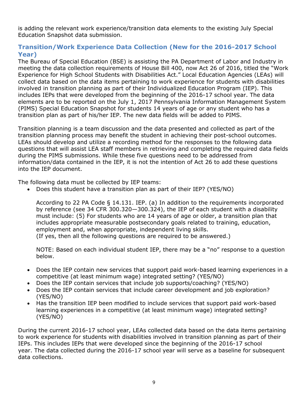is adding the relevant work experience/transition data elements to the existing July Special Education Snapshot data submission.

#### **Transition/Work Experience Data Collection (New for the 2016-2017 School Year)**

The Bureau of Special Education (BSE) is assisting the PA Department of Labor and Industry in meeting the data collection requirements of House Bill 400, now Act 26 of 2016, titled the "Work Experience for High School Students with Disabilities Act." Local Education Agencies (LEAs) will collect data based on the data items pertaining to work experience for students with disabilities involved in transition planning as part of their Individualized Education Program (IEP). This includes IEPs that were developed from the beginning of the 2016-17 school year. The data elements are to be reported on the July 1, 2017 Pennsylvania Information Management System (PIMS) Special Education Snapshot for students 14 years of age or any student who has a transition plan as part of his/her IEP. The new data fields will be added to PIMS.

Transition planning is a team discussion and the data presented and collected as part of the transition planning process may benefit the student in achieving their post-school outcomes. LEAs should develop and utilize a recording method for the responses to the following data questions that will assist LEA staff members in retrieving and completing the required data fields during the PIMS submissions. While these five questions need to be addressed from information/data contained in the IEP, it is not the intention of Act 26 to add these questions into the IEP document.

The following data must be collected by IEP teams:

• Does this student have a transition plan as part of their IEP? (YES/NO)

According to 22 PA Code § 14.131. IEP. (a) In addition to the requirements incorporated by reference (see 34 CFR 300.320—300.324), the IEP of each student with a disability must include: (5) For students who are 14 years of age or older, a transition plan that includes appropriate measurable postsecondary goals related to training, education, employment and, when appropriate, independent living skills. (If yes, then all the following questions are required to be answered.)

NOTE: Based on each individual student IEP, there may be a "no" response to a question below.

- Does the IEP contain new services that support paid work-based learning experiences in a competitive (at least minimum wage) integrated setting? (YES/NO)
- Does the IEP contain services that include job supports/coaching? (YES/NO)
- Does the IEP contain services that include career development and job exploration? (YES/NO)
- Has the transition IEP been modified to include services that support paid work-based learning experiences in a competitive (at least minimum wage) integrated setting? (YES/NO)

During the current 2016-17 school year, LEAs collected data based on the data items pertaining to work experience for students with disabilities involved in transition planning as part of their IEPs. This includes IEPs that were developed since the beginning of the 2016-17 school year. The data collected during the 2016-17 school year will serve as a baseline for subsequent data collections.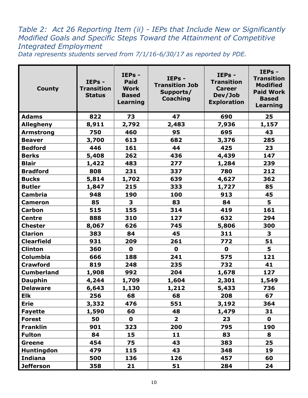# *Table 2: Act 26 Reporting Item (ii) - IEPs that Include New or Significantly Modified Goals and Specific Steps Toward the Attainment of Competitive Integrated Employment*

*Data represents students served from 7/1/16-6/30/17 as reported by PDE.* 

| <b>County</b>     | IEPs -<br><b>Transition</b><br><b>Status</b> | IEPs -<br><b>Paid</b><br><b>Work</b><br><b>Based</b><br>Learning | IEPs -<br><b>Transition Job</b><br>Supports/<br><b>Coaching</b> | IEPs -<br><b>Transition</b><br><b>Career</b><br>Dev/Job<br><b>Exploration</b> | IEPs -<br><b>Transition</b><br><b>Modified</b><br><b>Paid Work</b><br><b>Based</b><br><b>Learning</b> |
|-------------------|----------------------------------------------|------------------------------------------------------------------|-----------------------------------------------------------------|-------------------------------------------------------------------------------|-------------------------------------------------------------------------------------------------------|
| <b>Adams</b>      | 822                                          | 73                                                               | 47                                                              | 690                                                                           | 25                                                                                                    |
| <b>Allegheny</b>  | 8,911                                        | 2,792                                                            | 2,483                                                           | 7,936                                                                         | 1,157                                                                                                 |
| <b>Armstrong</b>  | 750                                          | 460                                                              | 95                                                              | 695                                                                           | 43                                                                                                    |
| <b>Beaver</b>     | 3,700                                        | 613                                                              | 682                                                             | 3,376                                                                         | 285                                                                                                   |
| <b>Bedford</b>    | 446                                          | 161                                                              | 44                                                              | 425                                                                           | 23                                                                                                    |
| <b>Berks</b>      | 5,408                                        | 262                                                              | 436                                                             | 4,439                                                                         | 147                                                                                                   |
| <b>Blair</b>      | 1,422                                        | 483                                                              | 277                                                             | 1,284                                                                         | 239                                                                                                   |
| <b>Bradford</b>   | 808                                          | 231                                                              | 337                                                             | 780                                                                           | 212                                                                                                   |
| <b>Bucks</b>      | 5,814                                        | 1,702                                                            | 639                                                             | 4,627                                                                         | 362                                                                                                   |
| <b>Butler</b>     | 1,847                                        | 215                                                              | 333                                                             | 1,727                                                                         | 85                                                                                                    |
| <b>Cambria</b>    | 948                                          | 190                                                              | 100                                                             | 913                                                                           | 45                                                                                                    |
| <b>Cameron</b>    | 85                                           | 3                                                                | 83                                                              | 84                                                                            | 5                                                                                                     |
| <b>Carbon</b>     | 515                                          | 155                                                              | 314                                                             | 419                                                                           | 161                                                                                                   |
| <b>Centre</b>     | 888                                          | 310                                                              | 127                                                             | 632                                                                           | 294                                                                                                   |
| <b>Chester</b>    | 8,067                                        | 626                                                              | 745                                                             | 5,806                                                                         | 300                                                                                                   |
| <b>Clarion</b>    | 383                                          | 84                                                               | 45                                                              | 311                                                                           | 3                                                                                                     |
| <b>Clearfield</b> | 931                                          | 209                                                              | 261                                                             | 772                                                                           | 51                                                                                                    |
| <b>Clinton</b>    | 360                                          | $\mathbf 0$                                                      | $\mathbf 0$                                                     | $\mathbf 0$                                                                   | 5                                                                                                     |
| <b>Columbia</b>   | 666                                          | 188                                                              | 241                                                             | 575                                                                           | 121                                                                                                   |
| <b>Crawford</b>   | 819                                          | 248                                                              | 235                                                             | 732                                                                           | 41                                                                                                    |
| <b>Cumberland</b> | 1,908                                        | 992                                                              | 204                                                             | 1,678                                                                         | 127                                                                                                   |
| <b>Dauphin</b>    | 4,244                                        | 1,709                                                            | 1,604                                                           | 2,301                                                                         | 1,549                                                                                                 |
| <b>Delaware</b>   | 6,643                                        | 1,130                                                            | 1,212                                                           | 5,433                                                                         | 736                                                                                                   |
| Elk               | 256                                          | 68                                                               | 68                                                              | 208                                                                           | 67                                                                                                    |
| <b>Erie</b>       | 3,332                                        | 476                                                              | 551                                                             | 3,192                                                                         | 364                                                                                                   |
| <b>Fayette</b>    | 1,590                                        | 60                                                               | 48                                                              | 1,479                                                                         | 31                                                                                                    |
| <b>Forest</b>     | 50                                           | $\mathbf 0$                                                      | $\overline{\mathbf{2}}$                                         | 23                                                                            | $\mathbf 0$                                                                                           |
| <b>Franklin</b>   | 901                                          | 323                                                              | 200                                                             | 795                                                                           | 190                                                                                                   |
| <b>Fulton</b>     | 84                                           | 15                                                               | 11                                                              | 83                                                                            | 8                                                                                                     |
| Greene            | 454                                          | 75                                                               | 43                                                              | 383                                                                           | 25                                                                                                    |
| Huntingdon        | 479                                          | 115                                                              | 43                                                              | 348                                                                           | 19                                                                                                    |
| <b>Indiana</b>    | 500                                          | 136                                                              | 126                                                             | 457                                                                           | 60                                                                                                    |
| <b>Jefferson</b>  | 358                                          | 21                                                               | 51                                                              | 284                                                                           | 24                                                                                                    |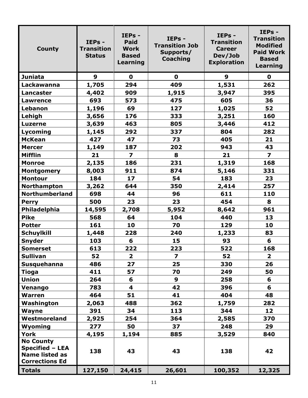| <b>County</b>                                                                                | IEPs -<br><b>Transition</b><br><b>Status</b> | IEPs -<br><b>Paid</b><br><b>Work</b><br><b>Based</b><br>Learning | IEPs -<br><b>Transition Job</b><br>Supports/<br><b>Coaching</b> | IEPs -<br><b>Transition</b><br><b>Career</b><br>Dev/Job<br><b>Exploration</b> | IEPs -<br><b>Transition</b><br><b>Modified</b><br><b>Paid Work</b><br><b>Based</b><br>Learning |
|----------------------------------------------------------------------------------------------|----------------------------------------------|------------------------------------------------------------------|-----------------------------------------------------------------|-------------------------------------------------------------------------------|------------------------------------------------------------------------------------------------|
| <b>Juniata</b>                                                                               | $\boldsymbol{9}$                             | $\mathbf 0$                                                      | $\mathbf 0$                                                     | 9                                                                             | $\mathbf 0$                                                                                    |
| Lackawanna                                                                                   | 1,705                                        | 294                                                              | 409                                                             | 1,531                                                                         | 262                                                                                            |
| <b>Lancaster</b>                                                                             | 4,402                                        | 909                                                              | 1,915                                                           | 3,947                                                                         | 395                                                                                            |
| <b>Lawrence</b>                                                                              | 693                                          | 573                                                              | 475                                                             | 605                                                                           | 36                                                                                             |
| Lebanon                                                                                      | 1,196                                        | 69                                                               | 127                                                             | 1,025                                                                         | 52                                                                                             |
| Lehigh                                                                                       | 3,656                                        | 176                                                              | 333                                                             | 3,251                                                                         | 160                                                                                            |
| <b>Luzerne</b>                                                                               | 3,639                                        | 463                                                              | 805                                                             | 3,446                                                                         | 412                                                                                            |
| Lycoming                                                                                     | 1,145                                        | 292                                                              | 337                                                             | 804                                                                           | 282                                                                                            |
| <b>McKean</b>                                                                                | 427                                          | 47                                                               | 73                                                              | 405                                                                           | 21                                                                                             |
| <b>Mercer</b>                                                                                | 1,149                                        | 187                                                              | 202                                                             | 943                                                                           | 43                                                                                             |
| <b>Mifflin</b>                                                                               | 21                                           | $\overline{\mathbf{z}}$                                          | 8                                                               | 21                                                                            | $\overline{\mathbf{z}}$                                                                        |
| <b>Monroe</b>                                                                                | 2,135                                        | 186                                                              | 231                                                             | 1,319                                                                         | 168                                                                                            |
| <b>Montgomery</b>                                                                            | 8,003                                        | 911                                                              | 874                                                             | 5,146                                                                         | 331                                                                                            |
| <b>Montour</b>                                                                               | 184                                          | 17 <sub>2</sub>                                                  | 54                                                              | 183                                                                           | 23                                                                                             |
| Northampton                                                                                  | 3,262                                        | 644                                                              | 350                                                             | 2,414                                                                         | 257                                                                                            |
| <b>Northumberland</b>                                                                        | 698                                          | 44                                                               | 96                                                              | 611                                                                           | 110                                                                                            |
| <b>Perry</b>                                                                                 | 500                                          | 23                                                               | 23                                                              | 454                                                                           | 8                                                                                              |
| <b>Philadelphia</b>                                                                          | 14,595                                       | 2,708                                                            | 5,952                                                           | 8,642                                                                         | 961                                                                                            |
| <b>Pike</b>                                                                                  | 568                                          | 64                                                               | 104                                                             | 440                                                                           | 13                                                                                             |
| <b>Potter</b>                                                                                | 161                                          | 10                                                               | 70                                                              | 129                                                                           | 10                                                                                             |
| <b>Schuylkill</b>                                                                            | 1,448                                        | 228                                                              | 240                                                             | 1,233                                                                         | 83                                                                                             |
| <b>Snyder</b>                                                                                | 103                                          | 6                                                                | 15                                                              | 93                                                                            | 6                                                                                              |
| <b>Somerset</b>                                                                              | 613                                          | 222                                                              | 223                                                             | 522                                                                           | 168                                                                                            |
| <b>Sullivan</b>                                                                              | 52                                           | $\overline{\mathbf{2}}$                                          | $\overline{\mathbf{z}}$                                         | 52                                                                            | $\overline{\mathbf{2}}$                                                                        |
| <b>Susquehanna</b>                                                                           | 486                                          | 27                                                               | 25                                                              | 330                                                                           | 26                                                                                             |
| <b>Tioga</b>                                                                                 | 411                                          | 57                                                               | 70                                                              | 249                                                                           | 50                                                                                             |
| <b>Union</b>                                                                                 | 264                                          | 6                                                                | $\boldsymbol{9}$                                                | 258                                                                           | 6                                                                                              |
| Venango                                                                                      | 783                                          | 4                                                                | 42                                                              | 396                                                                           | 6                                                                                              |
| <b>Warren</b>                                                                                | 464                                          | 51                                                               | 41                                                              | 404                                                                           | 48                                                                                             |
| Washington                                                                                   | 2,063                                        | 488                                                              | 362                                                             | 1,759                                                                         | 282                                                                                            |
| <b>Wayne</b>                                                                                 | 391                                          | 34                                                               | 113                                                             | 344                                                                           | 12                                                                                             |
| Westmoreland                                                                                 | 2,925                                        | 254                                                              | 364                                                             | 2,585                                                                         | 370                                                                                            |
| Wyoming                                                                                      | 277                                          | 50                                                               | 37                                                              | 248                                                                           | 29                                                                                             |
| York                                                                                         | 4,195                                        | 1,194                                                            | 885                                                             | 3,529                                                                         | 840                                                                                            |
| <b>No County</b><br><b>Specified - LEA</b><br><b>Name listed as</b><br><b>Corrections Ed</b> | 138                                          | 43                                                               | 43                                                              | 138                                                                           | 42                                                                                             |
| <b>Totals</b>                                                                                | 127,150                                      | 24,415                                                           | 26,601                                                          | 100,352                                                                       | 12,325                                                                                         |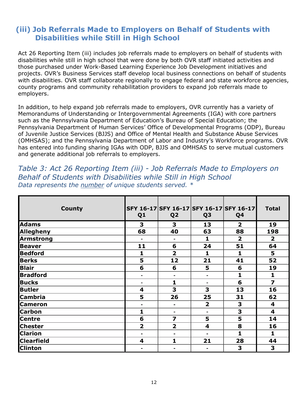## **(iii) Job Referrals Made to Employers on Behalf of Students with Disabilities while Still in High School**

Act 26 Reporting Item (iii) includes job referrals made to employers on behalf of students with disabilities while still in high school that were done by both OVR staff initiated activities and those purchased under Work-Based Learning Experience Job Development initiatives and projects. OVR's Business Services staff develop local business connections on behalf of students with disabilities. OVR staff collaborate regionally to engage federal and state workforce agencies, county programs and community rehabilitation providers to expand job referrals made to employers.

In addition, to help expand job referrals made to employers, OVR currently has a variety of Memorandums of Understanding or Intergovernmental Agreements (IGA) with core partners such as the Pennsylvania Department of Education's Bureau of Special Education; the Pennsylvania Department of Human Services' Office of Developmental Programs (ODP), Bureau of Juvenile Justice Services (BJJS) and Office of Mental Health and Substance Abuse Services (OMHSAS); and the Pennsylvania Department of Labor and Industry's Workforce programs. OVR has entered into funding sharing IGAs with ODP, BJJS and OMHSAS to serve mutual customers and generate additional job referrals to employers.

*Table 3: Act 26 Reporting Item (iii) - Job Referrals Made to Employers on Behalf of Students with Disabilities while Still in High School Data represents the number of unique students served. \** 

| <b>County</b>     | Q <sub>1</sub> | Q <sub>2</sub>          | Q <sub>3</sub>          | SFY 16-17 SFY 16-17 SFY 16-17 SFY 16-17<br>Q4 | <b>Total</b>            |
|-------------------|----------------|-------------------------|-------------------------|-----------------------------------------------|-------------------------|
| <b>Adams</b>      | 3              | 3                       | 13                      | $\overline{2}$                                | 19                      |
| Allegheny         | 68             | 40                      | 63                      | 88                                            | 198                     |
| <b>Armstrong</b>  | ۰              | $\blacksquare$          | $\mathbf{1}$            | $\overline{\mathbf{2}}$                       | $\overline{\mathbf{2}}$ |
| <b>Beaver</b>     | 11             | 6                       | 24                      | 51                                            | 64                      |
| <b>Bedford</b>    | 1              | $\overline{\mathbf{2}}$ | 1                       | 1                                             | 5                       |
| <b>Berks</b>      | 5              | 12                      | 21                      | 41                                            | 52                      |
| Blair             | 6              | 6                       | 5                       | 6                                             | 19                      |
| <b>Bradford</b>   | $\blacksquare$ |                         | $\blacksquare$          | 1                                             | 1                       |
| <b>Bucks</b>      | -              | 1                       | ۰                       | 6                                             | $\overline{z}$          |
| Butler            | 4              | 3                       | 3                       | 13                                            | 16                      |
| <b>Cambria</b>    | 5              | 26                      | 25                      | 31                                            | 62                      |
| <b>Cameron</b>    | $\blacksquare$ | -                       | $\overline{2}$          | 3                                             | 4                       |
| <b>Carbon</b>     | 1              | ۰                       | $\blacksquare$          | 3                                             | 4                       |
| <b>Centre</b>     | 6              | 7                       | 5                       | 5                                             | 14                      |
| <b>Chester</b>    | $\overline{2}$ | $\overline{2}$          | $\overline{\mathbf{4}}$ | 8                                             | 16                      |
| <b>Clarion</b>    | ÷              | ۰                       | ä,                      | 1                                             | 1                       |
| <b>Clearfield</b> | 4              | 1                       | 21                      | 28                                            | 44                      |
| <b>Clinton</b>    | -              | ۰                       | ۰                       | 3                                             | 3                       |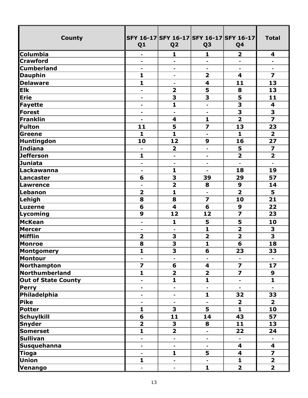| <b>County</b>              | Q <sub>1</sub>               | SFY 16-17 SFY 16-17 SFY 16-17 SFY 16-17<br>Q <sub>2</sub> | Q <sub>3</sub>               | Q4                      | <b>Total</b>            |
|----------------------------|------------------------------|-----------------------------------------------------------|------------------------------|-------------------------|-------------------------|
| <b>Columbia</b>            |                              | 1                                                         | 1                            | $\overline{\mathbf{2}}$ | 4                       |
| <b>Crawford</b>            | $\qquad \qquad \blacksquare$ | ÷,                                                        | $\blacksquare$               |                         | ä,                      |
| <b>Cumberland</b>          | $\blacksquare$               | $\blacksquare$                                            | $\blacksquare$               | $\blacksquare$          | $\blacksquare$          |
| <b>Dauphin</b>             | $\mathbf{1}$                 | $\overline{a}$                                            | $\overline{\mathbf{2}}$      | $\overline{\mathbf{4}}$ | $\overline{\mathbf{z}}$ |
| <b>Delaware</b>            | $\mathbf{1}$                 | ۰                                                         | $\overline{\mathbf{4}}$      | 11                      | 13                      |
| <b>Elk</b>                 | $\blacksquare$               | $\overline{\mathbf{2}}$                                   | 5                            | 8                       | 13                      |
| Erie                       | $\overline{\phantom{0}}$     | $\overline{\mathbf{3}}$                                   | $\overline{\mathbf{3}}$      | $\overline{\mathbf{5}}$ | 11                      |
| Fayette                    | $\blacksquare$               | $\mathbf{1}$                                              | $\blacksquare$               | 3                       | $\overline{\mathbf{4}}$ |
| Forest                     | $\blacksquare$               | $\blacksquare$                                            | $\blacksquare$               | $\overline{\mathbf{3}}$ | $\overline{\mathbf{3}}$ |
| Franklin                   | $\blacksquare$               | $\overline{\mathbf{4}}$                                   | $\mathbf{1}$                 | $\overline{2}$          | $\overline{z}$          |
| Fulton                     | 11                           | 5                                                         | $\overline{\mathbf{z}}$      | 13                      | 23                      |
| Greene                     | $\mathbf{1}$                 | $\mathbf{1}$                                              | $\blacksquare$               | $\mathbf{1}$            | $\overline{\mathbf{2}}$ |
| <b>Huntingdon</b>          | 10                           | 12                                                        | 9                            | 16                      | 27                      |
| Indiana                    | $\blacksquare$               | $\overline{\mathbf{2}}$                                   | $\qquad \qquad \blacksquare$ | 5                       | 7                       |
| <b>Jefferson</b>           | $\mathbf{1}$                 | $\blacksquare$                                            | $\blacksquare$               | $\overline{\mathbf{2}}$ | $\overline{2}$          |
| Juniata                    | $\blacksquare$               | $\blacksquare$                                            | $\blacksquare$               |                         |                         |
| Lackawanna                 | $\qquad \qquad \blacksquare$ | $\mathbf{1}$                                              | $\blacksquare$               | 18                      | 19                      |
| Lancaster                  | 6                            | $\overline{\mathbf{3}}$                                   | 39                           | 29                      | 57                      |
| Lawrence                   | $\blacksquare$               | $\overline{\mathbf{2}}$                                   | 8                            | 9                       | 14                      |
| Lebanon                    | $\overline{\mathbf{2}}$      | $\mathbf{1}$                                              | $\blacksquare$               | $\overline{\mathbf{2}}$ | 5                       |
| Lehigh                     | 8                            | 8                                                         | $\overline{z}$               | 10                      | 21                      |
| <b>Luzerne</b>             | 6                            | $\overline{\mathbf{4}}$                                   | 6                            | 9                       | 22                      |
| Lycoming                   | 9                            | 12                                                        | 12                           | $\overline{\mathbf{z}}$ | 23                      |
| McKean                     | $\blacksquare$               | $\mathbf{1}$                                              | 5                            | 5                       | 10                      |
| <b>Mercer</b>              | $\blacksquare$               | $\blacksquare$                                            | $\mathbf{1}$                 | $\overline{\mathbf{2}}$ | 3                       |
| Mifflin                    | $\overline{\mathbf{2}}$      | 3                                                         | $\overline{\mathbf{2}}$      | $\overline{\mathbf{2}}$ | $\overline{\mathbf{3}}$ |
| Monroe                     | 8                            | $\overline{\mathbf{3}}$                                   | 1                            | 6                       | 18                      |
| <b>Montgomery</b>          | 1                            | $\overline{\mathbf{3}}$                                   | $\overline{\mathbf{6}}$      | $\overline{23}$         | $\overline{33}$         |
| Montour                    | $\blacksquare$               | $\blacksquare$                                            | $\blacksquare$               |                         |                         |
| Northampton                | $\overline{z}$               | 6                                                         | $\overline{\mathbf{4}}$      | $\overline{z}$          | 17                      |
| Northumberland             | $\mathbf{1}$                 | $\overline{\mathbf{2}}$                                   | $\overline{\mathbf{2}}$      | $\overline{\mathbf{z}}$ | 9                       |
| <b>Out of State County</b> | $\blacksquare$               | $\mathbf{1}$                                              | $\mathbf{1}$                 | $\blacksquare$          | $\mathbf{1}$            |
| <b>Perry</b>               | $\blacksquare$               | -                                                         | $\blacksquare$               |                         | $\blacksquare$          |
| Philadelphia               | $\blacksquare$               | $\blacksquare$                                            | $\mathbf{1}$                 | 32                      | 33                      |
| Pike                       | ä,                           |                                                           | ä,                           | $\overline{2}$          | $\overline{2}$          |
| Potter                     | $\mathbf{1}$                 | 3                                                         | 5                            | $\mathbf{1}$            | 10                      |
| Schuylkill                 | 6                            | 11                                                        | 14                           | 43                      | 57                      |
| <b>Snyder</b>              | $\overline{\mathbf{2}}$      | 3                                                         | 8                            | 11                      | 13                      |
| <b>Somerset</b>            | $\overline{\mathbf{1}}$      | $\overline{\mathbf{2}}$                                   | $\blacksquare$               | 22                      | 24                      |
| <b>Sullivan</b>            | $\qquad \qquad \blacksquare$ | $\overline{\phantom{0}}$                                  | $\blacksquare$               |                         |                         |
| <b>Susquehanna</b>         | $\blacksquare$               | $\blacksquare$                                            | $\blacksquare$               | 4                       | 4                       |
| <b>Tioga</b>               | $\blacksquare$               | $\mathbf{1}$                                              | 5                            | 4                       | $\overline{\mathbf{z}}$ |
| <b>Union</b>               | $\mathbf{1}$                 | $\blacksquare$                                            | $\blacksquare$               | $\mathbf{1}$            | $\overline{2}$          |
| Venango                    | $\blacksquare$               | ۰                                                         | $\mathbf{1}$                 | $\overline{2}$          | $\overline{\mathbf{2}}$ |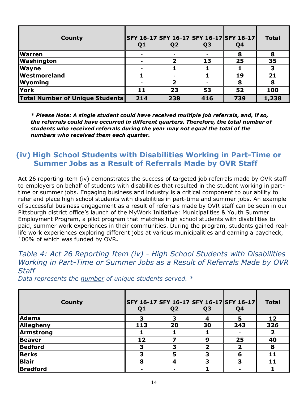| County                                 | Q <sub>1</sub> | Q <sub>2</sub> | Q <sub>3</sub> | SFY 16-17 SFY 16-17 SFY 16-17 SFY 16-17<br>Q <sub>4</sub> | <b>Total</b>            |
|----------------------------------------|----------------|----------------|----------------|-----------------------------------------------------------|-------------------------|
| <b>Warren</b>                          |                |                |                |                                                           | 8                       |
| <b>Washington</b>                      |                |                | 13             | 25                                                        | 35                      |
| <b>Wayne</b>                           |                |                |                |                                                           | $\overline{\mathbf{3}}$ |
| <b>Westmoreland</b>                    |                |                |                | 19                                                        | 21                      |
| <b>Wyoming</b>                         |                |                |                | 8                                                         | 8                       |
| York                                   | 11             | 23             | 53             | 52                                                        | 100                     |
| <b>Total Number of Unique Students</b> | 214            | 238            | 416            | 739                                                       | 1,238                   |

*\* Please Note: A single student could have received multiple job referrals, and, if so, the referrals could have occurred in different quarters. Therefore, the total number of students who received referrals during the year may not equal the total of the numbers who received them each quarter.*

### **(iv) High School Students with Disabilities Working in Part-Time or Summer Jobs as a Result of Referrals Made by OVR Staff**

Act 26 reporting item (iv) demonstrates the success of targeted job referrals made by OVR staff to employers on behalf of students with disabilities that resulted in the student working in parttime or summer jobs. Engaging business and industry is a critical component to our ability to refer and place high school students with disabilities in part-time and summer jobs. An example of successful business engagement as a result of referrals made by OVR staff can be seen in our Pittsburgh district office's launch of the MyWork Initiative: Municipalities & Youth Summer Employment Program, a pilot program that matches high school students with disabilities to paid, summer work experiences in their communities. During the program, students gained reallife work experiences exploring different jobs at various municipalities and earning a paycheck, 100% of which was funded by OVR**.** 

#### *Table 4: Act 26 Reporting Item (iv) - High School Students with Disabilities Working in Part-Time or Summer Jobs as a Result of Referrals Made by OVR Staff*

| <b>County</b>    | Q <sub>1</sub> | SFY 16-17 SFY 16-17 SFY 16-17 SFY 16-17<br>Q <sub>2</sub> | Q <sub>3</sub> | Q <sub>4</sub> | <b>Total</b> |
|------------------|----------------|-----------------------------------------------------------|----------------|----------------|--------------|
| <b>Adams</b>     | З              |                                                           | 4              |                | 12           |
| Allegheny        | 113            | 20                                                        | 30             | 243            | 326          |
| <b>Armstrong</b> |                |                                                           |                |                |              |
| <b>Beaver</b>    | 12             |                                                           | 9              | 25             | 40           |
| <b>Bedford</b>   | 3              | 3                                                         | 7              |                | 8            |
| <b>Berks</b>     | 3              |                                                           | 3              | 6              | 11           |
| <b>Blair</b>     | 8              |                                                           | 3              |                | 11           |
| <b>Bradford</b>  |                |                                                           |                |                |              |

*Data represents the number of unique students served. \**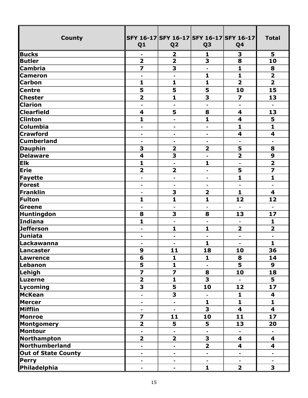| <b>County</b>              | Q <sub>1</sub>               | SFY 16-17 SFY 16-17 SFY 16-17 SFY 16-17<br>Q <sub>2</sub> | Q <sub>3</sub>               | Q <sub>4</sub>               | <b>Total</b>            |
|----------------------------|------------------------------|-----------------------------------------------------------|------------------------------|------------------------------|-------------------------|
| <b>Bucks</b>               |                              | $\overline{\mathbf{2}}$                                   | 1                            | 3                            | 5                       |
| <b>Butler</b>              | $\overline{\mathbf{2}}$      | $\overline{\mathbf{2}}$                                   | 3                            | 8                            | 10                      |
| <b>Cambria</b>             |                              | $\overline{\mathbf{3}}$                                   | $\blacksquare$               | $\overline{\mathbf{1}}$      | 8                       |
| <b>Cameron</b>             | $\blacksquare$               |                                                           | $\mathbf{1}$                 | $\mathbf{1}$                 | $\overline{\mathbf{2}}$ |
| <b>Carbon</b>              | $\mathbf{1}$                 | $\mathbf{1}$                                              | $\mathbf{1}$                 | $\overline{2}$               | $\overline{2}$          |
| <b>Centre</b>              | 5                            | 5                                                         | 5                            | 10                           | 15                      |
| <b>Chester</b>             | $\overline{\mathbf{2}}$      | $\mathbf{1}$                                              | $\overline{\mathbf{3}}$      | 7                            | 13                      |
| <b>Clarion</b>             | $\blacksquare$               | $\blacksquare$                                            | $\qquad \qquad \blacksquare$ | $\qquad \qquad \blacksquare$ | $\blacksquare$          |
| <b>Clearfield</b>          | 4                            | $\overline{\mathbf{5}}$                                   | 8                            | 4                            | 13                      |
| <b>Clinton</b>             | $\mathbf{1}$                 | $\blacksquare$                                            | $\mathbf{1}$                 | $\overline{\mathbf{4}}$      | 5                       |
| Columbia                   | $\overline{\phantom{0}}$     | ۰                                                         | $\blacksquare$               | $\mathbf{1}$                 | $\mathbf{1}$            |
| <b>Crawford</b>            | -                            | $\overline{\phantom{0}}$                                  | $\qquad \qquad \blacksquare$ | $\overline{\mathbf{4}}$      | $\overline{\mathbf{4}}$ |
| <b>Cumberland</b>          | -                            | $\blacksquare$                                            | $\blacksquare$               | $\overline{\phantom{0}}$     | $\blacksquare$          |
| <b>Dauphin</b>             | 3                            | $\overline{\mathbf{2}}$                                   | $\overline{\mathbf{2}}$      | 5                            | 8                       |
| <b>Delaware</b>            | 4                            | $\overline{\mathbf{3}}$                                   | $\blacksquare$               | $\overline{2}$               | $\boldsymbol{9}$        |
| <b>Elk</b>                 | $\mathbf{1}$                 | $\blacksquare$                                            | 1                            | $\blacksquare$               | $\overline{2}$          |
| Erie                       | $\overline{\mathbf{2}}$      | $\overline{\mathbf{2}}$                                   | $\blacksquare$               | 5                            | $\overline{\mathbf{z}}$ |
| Fayette                    | $\overline{\phantom{0}}$     | $\overline{\phantom{a}}$                                  | $\blacksquare$               | $\mathbf{1}$                 | $\mathbf{1}$            |
| Forest                     | -                            |                                                           | $\blacksquare$               |                              | $\blacksquare$          |
| Franklin                   | ۰                            | 3                                                         | $\overline{\mathbf{2}}$      | $\mathbf{1}$                 | $\overline{\mathbf{4}}$ |
| <b>Fulton</b>              | 1                            | $\mathbf{1}$                                              | $\mathbf{1}$                 | 12                           | 12                      |
| Greene                     | $\blacksquare$               | $\overline{\phantom{0}}$                                  | $\blacksquare$               | $\blacksquare$               | $\blacksquare$          |
| <b>Huntingdon</b>          | 8                            | 3                                                         | 8                            | 13                           | 17                      |
| Indiana                    | $\overline{\mathbf{1}}$      |                                                           | $\blacksquare$               |                              | 1                       |
| <b>Jefferson</b>           | $\blacksquare$               | $\mathbf{1}$                                              | $\mathbf{1}$                 | $\overline{\mathbf{2}}$      | $\overline{2}$          |
| <b>Juniata</b>             | ۰                            | $\blacksquare$                                            | $\blacksquare$               | $\blacksquare$               | $\blacksquare$          |
| Lackawanna                 | $\blacksquare$               | $\blacksquare$                                            | 1                            | $\blacksquare$               | 1                       |
| Lancaster                  | 9                            | 11                                                        | 18                           | 10                           | 36                      |
| Lawrence                   | 6                            | $\mathbf{1}$                                              | $\mathbf{1}$                 | 8                            | 14                      |
| Lebanon                    | $\overline{\mathbf{5}}$      | $\mathbf{1}$                                              | $\blacksquare$               |                              | 9                       |
| Lehigh                     |                              | $\overline{\mathbf{z}}$                                   | 8                            | 10                           | 18                      |
| Luzerne                    | $\overline{\mathbf{2}}$      | $\mathbf{1}$                                              | 3                            |                              | 5                       |
| Lycoming                   | 3                            | 5                                                         | 10                           | 12                           | 17                      |
| <b>McKean</b>              | $\blacksquare$               | $\overline{\mathbf{3}}$                                   | $\blacksquare$               | $\mathbf{1}$                 | 4                       |
| <b>Mercer</b>              | $\blacksquare$               |                                                           | $\mathbf{1}$                 | $\mathbf{1}$                 | $\mathbf{1}$            |
| <b>Mifflin</b>             | -                            |                                                           | 3                            | 4                            | 4                       |
| <b>Monroe</b>              | $\overline{z}$               | 11                                                        | 10                           | 11                           | 17                      |
| <b>Montgomery</b>          | $\overline{\mathbf{2}}$      | 5                                                         | 5                            | 13                           | 20                      |
| <b>Montour</b>             | $\blacksquare$               | $\blacksquare$                                            | $\blacksquare$               | $\blacksquare$               | $\blacksquare$          |
| Northampton                | $\overline{\mathbf{2}}$      | $\overline{\mathbf{2}}$                                   | 3                            | 4                            | 4                       |
| Northumberland             | ÷,                           | $\blacksquare$                                            | $\overline{2}$               | 4                            | 4                       |
| <b>Out of State County</b> | $\blacksquare$               | $\blacksquare$                                            | $\blacksquare$               | $\blacksquare$               | $\blacksquare$          |
| <b>Perry</b>               | $\qquad \qquad \blacksquare$ | $\blacksquare$                                            | $\blacksquare$               | $\blacksquare$               | $\blacksquare$          |
| Philadelphia               | -                            |                                                           | $\mathbf{1}$                 | $\overline{\mathbf{2}}$      | 3                       |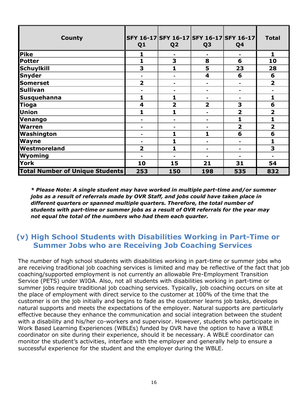| <b>County</b>                          | Q <sub>1</sub>          | Q <sub>2</sub>          | Q <sub>3</sub>          | SFY 16-17 SFY 16-17 SFY 16-17 SFY 16-17<br>Q4 | <b>Total</b>            |
|----------------------------------------|-------------------------|-------------------------|-------------------------|-----------------------------------------------|-------------------------|
| Pike                                   |                         | $\blacksquare$          | $\blacksquare$          | $\blacksquare$                                | 1                       |
| <b>Potter</b>                          | 1                       | 3                       | 8                       | 6                                             | 10                      |
| <b>Schuylkill</b>                      | 3                       |                         | 5                       | 23                                            | 28                      |
| <b>Snyder</b>                          |                         |                         | $\overline{\mathbf{4}}$ | 6                                             | 6                       |
| <b>Somerset</b>                        | $\overline{\mathbf{2}}$ |                         |                         |                                               | $\overline{\mathbf{2}}$ |
| <b>Sullivan</b>                        |                         | $\blacksquare$          | $\blacksquare$          | $\blacksquare$                                |                         |
| <b>Susquehanna</b>                     | 1                       | 1                       |                         |                                               | 1                       |
| <b>Tioga</b>                           | 4                       | $\overline{\mathbf{2}}$ | $\overline{2}$          | 3                                             | 6                       |
| Union                                  | 1                       |                         |                         | $\overline{2}$                                | $\overline{\mathbf{2}}$ |
| Venango                                |                         |                         |                         |                                               | 1                       |
| <b>Warren</b>                          |                         | $\blacksquare$          | $\blacksquare$          | $\overline{\mathbf{2}}$                       | $\overline{2}$          |
| Washington                             |                         | 1                       | 1                       | 6                                             | 6                       |
| <b>Wayne</b>                           |                         |                         |                         |                                               | 1                       |
| Westmoreland                           | $\overline{2}$          | 1                       |                         |                                               | 3                       |
| Wyoming                                |                         |                         |                         |                                               |                         |
| York                                   | 10                      | 15                      | 21                      | 31                                            | 54                      |
| <b>Total Number of Unique Students</b> | 253                     | 150                     | 198                     | 535                                           | 832                     |

*\* Please Note: A single student may have worked in multiple part-time and/or summer jobs as a result of referrals made by OVR Staff, and jobs could have taken place in different quarters or spanned multiple quarters. Therefore, the total number of students with part-time or summer jobs as a result of OVR referrals for the year may not equal the total of the numbers who had them each quarter.* 

## **(v) High School Students with Disabilities Working in Part-Time or Summer Jobs who are Receiving Job Coaching Services**

The number of high school students with disabilities working in part-time or summer jobs who are receiving traditional job coaching services is limited and may be reflective of the fact that job coaching/supported employment is not currently an allowable Pre-Employment Transition Service (PETS) under WIOA. Also, not all students with disabilities working in part-time or summer jobs require traditional job coaching services. Typically, job coaching occurs on site at the place of employment with direct service to the customer at 100% of the time that the customer is on the job initially and begins to fade as the customer learns job tasks, develops natural supports and meets the expectations of the employer. Natural supports are particularly effective because they enhance the communication and social integration between the student with a disability and his/her co-workers and supervisor. However, students who participate in Work Based Learning Experiences (WBLEs) funded by OVR have the option to have a WBLE coordinator on site during their experience, should it be necessary. A WBLE coordinator can monitor the student's activities, interface with the employer and generally help to ensure a successful experience for the student and the employer during the WBLE.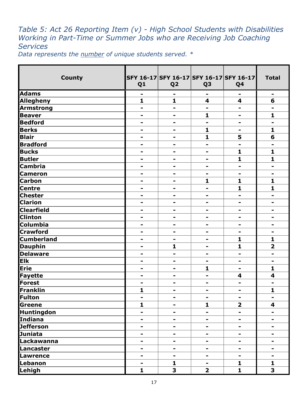# *Table 5: Act 26 Reporting Item (v) - High School Students with Disabilities Working in Part-Time or Summer Jobs who are Receiving Job Coaching Services*

*Data represents the number of unique students served. \** 

| <b>County</b>     | Q <sub>1</sub> | Q <sub>2</sub>               | Q <sub>3</sub>          | SFY 16-17 SFY 16-17 SFY 16-17 SFY 16-17<br>Q <sub>4</sub> | <b>Total</b>            |
|-------------------|----------------|------------------------------|-------------------------|-----------------------------------------------------------|-------------------------|
| <b>Adams</b>      |                |                              |                         |                                                           | -                       |
| <b>Allegheny</b>  | $\mathbf{1}$   | $\mathbf{1}$                 | $\overline{\mathbf{4}}$ | $\overline{\mathbf{4}}$                                   | 6                       |
| <b>Armstrong</b>  | -              | $\blacksquare$               | $\blacksquare$          | $\blacksquare$                                            | Ξ.                      |
| <b>Beaver</b>     | -              | -                            | $\mathbf{1}$            | ۰                                                         | $\mathbf{1}$            |
| <b>Bedford</b>    | -              | $\blacksquare$               | $\blacksquare$          | $\blacksquare$                                            | $\blacksquare$          |
| <b>Berks</b>      | -              | -                            | $\mathbf{1}$            | $\blacksquare$                                            | $\mathbf{1}$            |
| <b>Blair</b>      | -              | -                            | 1                       | 5                                                         | 6                       |
| <b>Bradford</b>   | -              | -                            | -                       | $\blacksquare$                                            | -                       |
| <b>Bucks</b>      | -              |                              | -                       | 1                                                         | 1                       |
| <b>Butler</b>     | -              | $\blacksquare$               | -                       | 1                                                         | $\mathbf{1}$            |
| <b>Cambria</b>    |                | -                            |                         |                                                           | -                       |
| <b>Cameron</b>    | ۰              | $\qquad \qquad \blacksquare$ | ۰                       | ۰                                                         | $\blacksquare$          |
| <b>Carbon</b>     | -              | -                            | $\mathbf{1}$            | 1                                                         | $\mathbf{1}$            |
| <b>Centre</b>     |                |                              |                         | 1                                                         | 1                       |
| <b>Chester</b>    | -              | -                            | -                       | -                                                         | -                       |
| <b>Clarion</b>    | -              | $\blacksquare$               | $\blacksquare$          | $\blacksquare$                                            | -                       |
| <b>Clearfield</b> | ۰              | $\qquad \qquad \blacksquare$ | ۰                       | $\qquad \qquad \blacksquare$                              | -                       |
| <b>Clinton</b>    | -              | -                            | -                       | $\blacksquare$                                            | -                       |
| Columbia          | -              | -                            |                         | $\blacksquare$                                            | -                       |
| <b>Crawford</b>   | -              | -                            |                         | $\blacksquare$                                            | -                       |
| <b>Cumberland</b> | -              | -                            | -                       | 1                                                         | $\mathbf{1}$            |
| <b>Dauphin</b>    | -              | $\mathbf{1}$                 | Ξ.                      | $\mathbf{1}$                                              | $\overline{\mathbf{2}}$ |
| <b>Delaware</b>   |                |                              |                         |                                                           | -                       |
| <b>Elk</b>        | -              | $\blacksquare$               | $\blacksquare$          | ۰                                                         | ۰                       |
| Erie              | -              | -                            | 1                       | ۰                                                         | 1                       |
| <b>Fayette</b>    |                |                              |                         | $\boldsymbol{4}$                                          | 4                       |
| Forest            | $\blacksquare$ | -                            | -                       | $\blacksquare$                                            | $\blacksquare$          |
| Franklin          | 1              |                              |                         |                                                           | 1                       |
| <b>Fulton</b>     | ۰              | ۰                            | ۰                       | ۰                                                         | ۰                       |
| <b>Greene</b>     | $\mathbf{1}$   | ۰                            | $\mathbf{1}$            | $\overline{\mathbf{2}}$                                   | 4                       |
| Huntingdon        | ۰              |                              | ۰                       | -                                                         | ۰                       |
| <b>Indiana</b>    | -              |                              |                         | ۰                                                         |                         |
| <b>Jefferson</b>  | ۰              | -                            | Ξ.                      | $\blacksquare$                                            | -                       |
| <b>Juniata</b>    | ۰              | ۰                            | ۰                       | ۰                                                         |                         |
| Lackawanna        | -              |                              | -                       |                                                           |                         |
| Lancaster         | ۰              | -                            | ۰                       | $\qquad \qquad \blacksquare$                              | ۰                       |
| Lawrence          | ۰              | Ξ.                           | -                       | -                                                         | -                       |
| Lebanon           | -              | $\mathbf{1}$                 |                         | 1                                                         | $\mathbf{1}$            |
| Lehigh            | $\mathbf{1}$   | 3                            | $\overline{\mathbf{2}}$ | $\mathbf{1}$                                              | $\overline{\mathbf{3}}$ |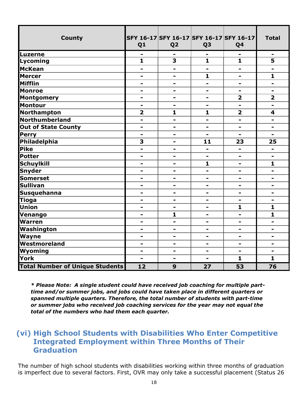| <b>County</b>                          | Q <sub>1</sub>          | SFY 16-17 SFY 16-17 SFY 16-17 SFY 16-17<br>Q <sub>2</sub> | Q <sub>3</sub>               | Q <sub>4</sub>               | <b>Total</b>            |
|----------------------------------------|-------------------------|-----------------------------------------------------------|------------------------------|------------------------------|-------------------------|
| Luzerne                                | -                       |                                                           | -                            |                              | ۰                       |
| Lycoming                               | $\mathbf{1}$            | 3                                                         | $\mathbf{1}$                 | $\mathbf{1}$                 | 5                       |
| <b>McKean</b>                          | -                       | -                                                         | $\blacksquare$               | -                            | -                       |
| <b>Mercer</b>                          | ۰                       | -                                                         | 1                            | -                            | 1                       |
| <b>Mifflin</b>                         | $\blacksquare$          | $\blacksquare$                                            | $\overline{\phantom{0}}$     | $\blacksquare$               | $\blacksquare$          |
| <b>Monroe</b>                          | ۰                       | -                                                         | ۰                            | -                            | ۰                       |
| <b>Montgomery</b>                      | -                       | -                                                         | $\blacksquare$               | $\overline{\mathbf{2}}$      | $\overline{\mathbf{2}}$ |
| <b>Montour</b>                         | ۰                       | ۰                                                         | Ξ.                           | $\blacksquare$               | ۰                       |
| Northampton                            | $\overline{\mathbf{2}}$ | $\mathbf{1}$                                              | 1                            | $\overline{\mathbf{2}}$      | 4                       |
| Northumberland                         | -                       | -                                                         | Ξ.                           | ۰                            | ۰                       |
| <b>Out of State County</b>             | -                       | $\blacksquare$                                            | $\blacksquare$               | $\blacksquare$               | $\blacksquare$          |
| <b>Perry</b>                           | $\blacksquare$          | ۰                                                         | $\blacksquare$               | $\blacksquare$               |                         |
| Philadelphia                           | 3                       | $\qquad \qquad \blacksquare$                              | 11                           | 23                           | 25                      |
| <b>Pike</b>                            | -                       | -                                                         | -                            | ۰                            | -                       |
| <b>Potter</b>                          | -                       | -                                                         | $\blacksquare$               | $\blacksquare$               | $\blacksquare$          |
| <b>Schuylkill</b>                      | -                       | $\blacksquare$                                            | 1                            | $\blacksquare$               | 1                       |
| <b>Snyder</b>                          | -                       | -                                                         | -                            | -                            | -                       |
| <b>Somerset</b>                        | ۰                       | -                                                         | ۰                            | -                            | Ξ.                      |
| <b>Sullivan</b>                        | ۰                       | $\blacksquare$                                            | $\overline{\phantom{0}}$     | $\blacksquare$               | $\blacksquare$          |
| Susquehanna                            | -                       | $\qquad \qquad \blacksquare$                              | $\qquad \qquad \blacksquare$ | -                            | -                       |
| <b>Tioga</b>                           | -                       | $\overline{\phantom{0}}$                                  | ۰                            | $\blacksquare$               | -                       |
| <b>Union</b>                           | -                       | -                                                         | ۰                            | $\mathbf{1}$                 | $\mathbf{1}$            |
| Venango                                | ۰                       | 1                                                         | Ξ.                           | ۰                            | 1                       |
| Warren                                 | -                       | $\blacksquare$                                            | $\blacksquare$               | $\blacksquare$               | $\blacksquare$          |
| Washington                             | ۰                       | $\blacksquare$                                            | ۰                            | $\blacksquare$               | $\blacksquare$          |
| Wayne                                  | ۰                       | -                                                         | $\qquad \qquad \blacksquare$ | $\blacksquare$               | -                       |
| Westmoreland                           | -                       | -                                                         | $\qquad \qquad \blacksquare$ | $\qquad \qquad \blacksquare$ | -                       |
| Wyoming                                | -                       | -                                                         | ۰                            | ۰                            | Ξ.                      |
| York                                   | $\blacksquare$          | $\blacksquare$                                            |                              | $\mathbf{1}$                 | $\mathbf{1}$            |
| <b>Total Number of Unique Students</b> | 12                      | 9                                                         | 27                           | 53                           | 76                      |

*\* Please Note: A single student could have received job coaching for multiple parttime and/or summer jobs, and jobs could have taken place in different quarters or spanned multiple quarters. Therefore, the total number of students with part-time or summer jobs who received job coaching services for the year may not equal the total of the numbers who had them each quarter.*

## **(vi) High School Students with Disabilities Who Enter Competitive Integrated Employment within Three Months of Their Graduation**

The number of high school students with disabilities working within three months of graduation is imperfect due to several factors. First, OVR may only take a successful placement (Status 26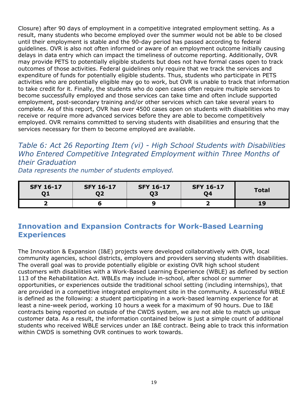Closure) after 90 days of employment in a competitive integrated employment setting. As a result, many students who become employed over the summer would not be able to be closed until their employment is stable and the 90-day period has passed according to federal guidelines. OVR is also not often informed or aware of an employment outcome initially causing delays in data entry which can impact the timeliness of outcome reporting. Additionally, OVR may provide PETS to potentially eligible students but does not have formal cases open to track outcomes of those activities. Federal guidelines only require that we track the services and expenditure of funds for potentially eligible students. Thus, students who participate in PETS activities who are potentially eligible may go to work, but OVR is unable to track that information to take credit for it. Finally, the students who do open cases often require multiple services to become successfully employed and those services can take time and often include supported employment, post-secondary training and/or other services which can take several years to complete. As of this report, OVR has over 4500 cases open on students with disabilities who may receive or require more advanced services before they are able to become competitively employed. OVR remains committed to serving students with disabilities and ensuring that the services necessary for them to become employed are available.

# *Table 6: Act 26 Reporting Item (vi) - High School Students with Disabilities Who Entered Competitive Integrated Employment within Three Months of their Graduation*

*Data represents the number of students employed.* 

| <b>SFY 16-17</b> | <b>SFY 16-17</b><br>02 | <b>SFY 16-17</b> | <b>SFY 16-17</b><br>04 | <b>Total</b> |
|------------------|------------------------|------------------|------------------------|--------------|
|                  |                        |                  |                        |              |

# **Innovation and Expansion Contracts for Work-Based Learning Experiences**

The Innovation & Expansion (I&E) projects were developed collaboratively with OVR, local community agencies, school districts, employers and providers serving students with disabilities. The overall goal was to provide potentially eligible or existing OVR high school student customers with disabilities with a Work-Based Learning Experience (WBLE) as defined by section 113 of the Rehabilitation Act. WBLEs may include in-school, after school or summer opportunities, or experiences outside the traditional school setting (including internships), that are provided in a competitive integrated employment site in the community. A successful WBLE is defined as the following: a student participating in a work-based learning experience for at least a nine-week period, working 10 hours a week for a maximum of 90 hours. Due to I&E contracts being reported on outside of the CWDS system, we are not able to match up unique customer data. As a result, the information contained below is just a simple count of additional students who received WBLE services under an I&E contract. Being able to track this information within CWDS is something OVR continues to work towards.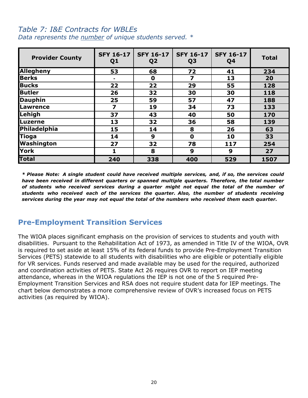#### *Table 7: I&E Contracts for WBLEs Data represents the number of unique students served. \**

| <b>Provider County</b> | <b>SFY 16-17</b><br>Q <sub>1</sub> | <b>SFY 16-17</b><br>Q <sub>2</sub> | <b>SFY 16-17</b><br>Q <sub>3</sub> | <b>SFY 16-17</b><br>Q <sub>4</sub> | <b>Total</b> |
|------------------------|------------------------------------|------------------------------------|------------------------------------|------------------------------------|--------------|
| <b>Allegheny</b>       | 53                                 | 68                                 | 72                                 | 41                                 | 234          |
| <b>Berks</b>           | $\blacksquare$                     | 0                                  | 7                                  | 13                                 | 20           |
| <b>Bucks</b>           | 22                                 | 22                                 | 29                                 | 55                                 | 128          |
| <b>Butler</b>          | 26                                 | 32                                 | 30                                 | 30                                 | 118          |
| <b>Dauphin</b>         | 25                                 | 59                                 | 57                                 | 47                                 | 188          |
| <b>Lawrence</b>        | $\overline{\mathbf{z}}$            | 19                                 | 34                                 | 73                                 | 133          |
| Lehigh                 | 37                                 | 43                                 | 40                                 | 50                                 | 170          |
| <b>Luzerne</b>         | 13                                 | 32                                 | 36                                 | 58                                 | 139          |
| Philadelphia           | 15                                 | 14                                 | 8                                  | 26                                 | 63           |
| <b>Tioga</b>           | 14                                 | 9                                  | 0                                  | 10                                 | 33           |
| Washington             | 27                                 | 32                                 | 78                                 | 117                                | 254          |
| <b>York</b>            | 1                                  | 8                                  | 9                                  | 9                                  | 27           |
| <b>Total</b>           | 240                                | 338                                | 400                                | 529                                | 1507         |

*\* Please Note: A single student could have received multiple services, and, if so, the services could have been received in different quarters or spanned multiple quarters. Therefore, the total number of students who received services during a quarter might not equal the total of the number of students who received each of the services the quarter. Also, the number of students receiving services during the year may not equal the total of the numbers who received them each quarter.* 

## **Pre-Employment Transition Services**

The WIOA places significant emphasis on the provision of services to students and youth with disabilities. Pursuant to the Rehabilitation Act of 1973, as amended in Title IV of the WIOA, OVR is required to set aside at least 15% of its federal funds to provide Pre-Employment Transition Services (PETS) statewide to all students with disabilities who are eligible or potentially eligible for VR services. Funds reserved and made available may be used for the required, authorized and coordination activities of PETS. State Act 26 requires OVR to report on IEP meeting attendance, whereas in the WIOA regulations the IEP is not one of the 5 required Pre-Employment Transition Services and RSA does not require student data for IEP meetings. The chart below demonstrates a more comprehensive review of OVR's increased focus on PETS activities (as required by WIOA).